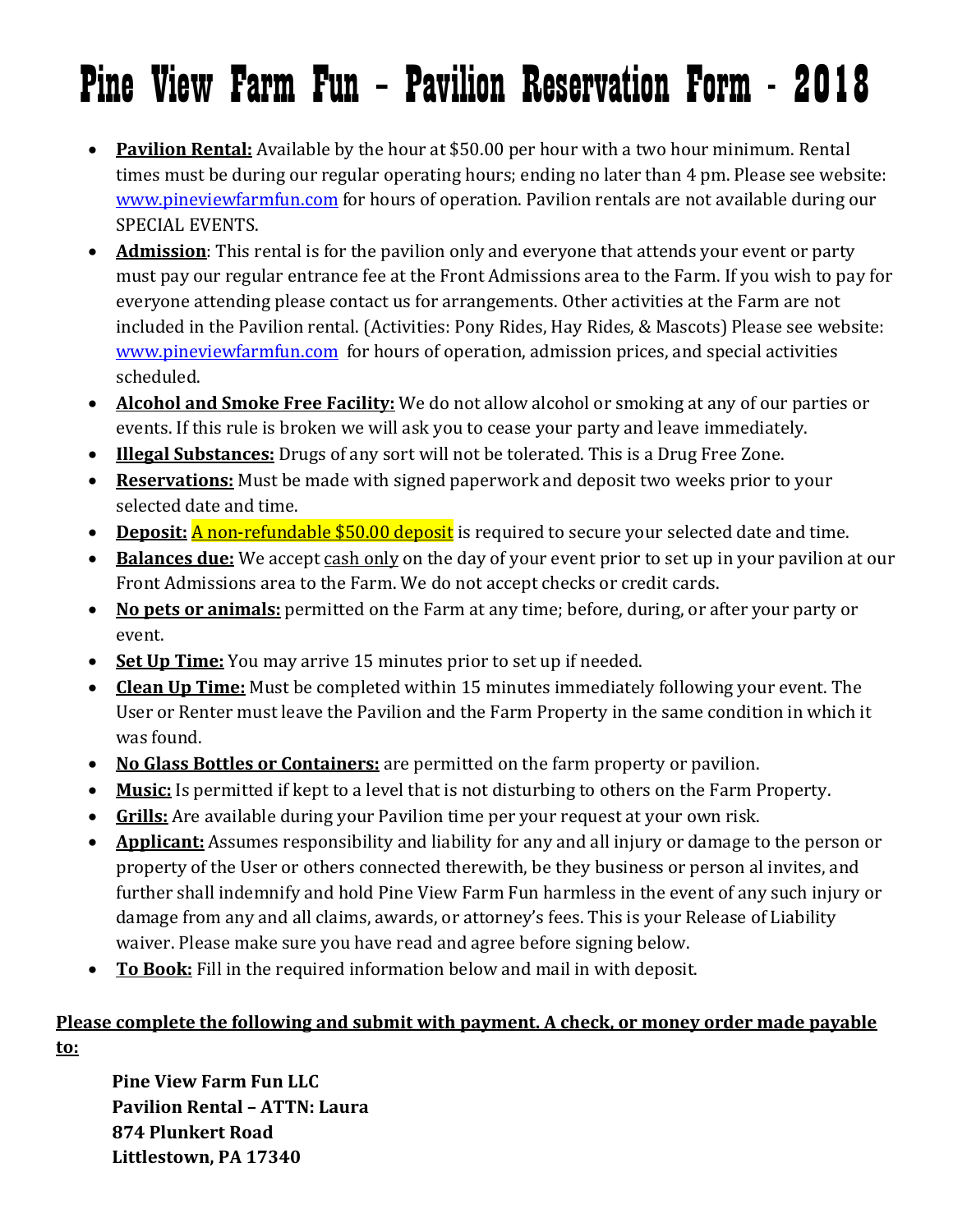## Pine View Farm Fun – Pavilion Reservation Form - 2018

- **Pavilion Rental:** Available by the hour at \$50.00 per hour with a two hour minimum. Rental times must be during our regular operating hours; ending no later than 4 pm. Please see website: [www.pineviewfarmfun.com](http://www.pineviewfarmfun.com/) for hours of operation. Pavilion rentals are not available during our SPECIAL EVENTS.
- **Admission**: This rental is for the pavilion only and everyone that attends your event or party must pay our regular entrance fee at the Front Admissions area to the Farm. If you wish to pay for everyone attending please contact us for arrangements. Other activities at the Farm are not included in the Pavilion rental. (Activities: Pony Rides, Hay Rides, & Mascots) Please see website: [www.pineviewfarmfun.com](http://www.pineviewfarmfun.com/) for hours of operation, admission prices, and special activities scheduled.
- **Alcohol and Smoke Free Facility:** We do not allow alcohol or smoking at any of our parties or events. If this rule is broken we will ask you to cease your party and leave immediately.
- **Illegal Substances:** Drugs of any sort will not be tolerated. This is a Drug Free Zone.
- **Reservations:** Must be made with signed paperwork and deposit two weeks prior to your selected date and time.
- **Deposit:** A non-refundable \$50.00 deposit is required to secure your selected date and time.
- **Balances due:** We accept cash only on the day of your event prior to set up in your pavilion at our Front Admissions area to the Farm. We do not accept checks or credit cards.
- **No pets or animals:** permitted on the Farm at any time; before, during, or after your party or event.
- **Set Up Time:** You may arrive 15 minutes prior to set up if needed.
- **Clean Up Time:** Must be completed within 15 minutes immediately following your event. The User or Renter must leave the Pavilion and the Farm Property in the same condition in which it was found.
- **No Glass Bottles or Containers:** are permitted on the farm property or pavilion.
- **Music:** Is permitted if kept to a level that is not disturbing to others on the Farm Property.
- **Grills:** Are available during your Pavilion time per your request at your own risk.
- **Applicant:** Assumes responsibility and liability for any and all injury or damage to the person or property of the User or others connected therewith, be they business or person al invites, and further shall indemnify and hold Pine View Farm Fun harmless in the event of any such injury or damage from any and all claims, awards, or attorney's fees. This is your Release of Liability waiver. Please make sure you have read and agree before signing below.
- **To Book:** Fill in the required information below and mail in with deposit.

## **Please complete the following and submit with payment. A check, or money order made payable to:**

**Pine View Farm Fun LLC Pavilion Rental – ATTN: Laura 874 Plunkert Road Littlestown, PA 17340**